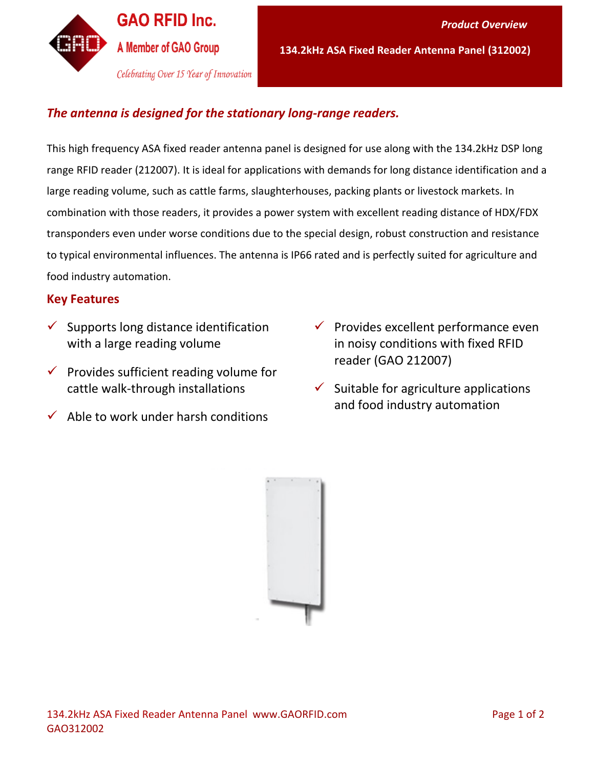

### *The antenna is designed for the stationary long-range readers.*

This high frequency ASA fixed reader antenna panel is designed for use along with the 134.2kHz DSP long range RFID reader (212007). It is ideal for applications with demands for long distance identification and a large reading volume, such as cattle farms, slaughterhouses, packing plants or livestock markets. In combination with those readers, it provides a power system with excellent reading distance of HDX/FDX transponders even under worse conditions due to the special design, robust construction and resistance to typical environmental influences. The antenna is IP66 rated and is perfectly suited for agriculture and food industry automation.

### **Key Features**

- $\checkmark$  Supports long distance identification with a large reading volume
- $\checkmark$  Provides sufficient reading volume for cattle walk-through installations
- $\checkmark$  Able to work under harsh conditions
- $\checkmark$  Provides excellent performance even in noisy conditions with fixed RFID reader (GAO 212007)
- $\checkmark$  Suitable for agriculture applications and food industry automation